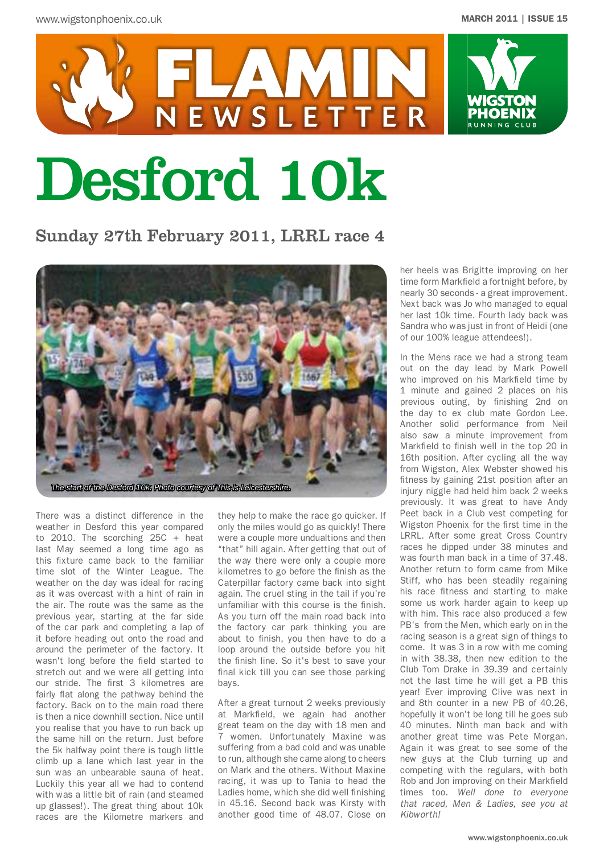

# Desford 10k

NEWSLETTER

# Sunday 27th February 2011, LRRL race 4



There was a distinct difference in the weather in Desford this year compared to 2010. The scorching 25C + heat last May seemed a long time ago as this fixture came back to the familiar time slot of the Winter League. The weather on the day was ideal for racing as it was overcast with a hint of rain in the air. The route was the same as the previous year, starting at the far side of the car park and completing a lap of it before heading out onto the road and around the perimeter of the factory. It wasn't long before the field started to stretch out and we were all getting into our stride. The first 3 kilometres are fairly flat along the pathway behind the factory. Back on to the main road there is then a nice downhill section. Nice until you realise that you have to run back up the same hill on the return. Just before the 5k halfway point there is tough little climb up a lane which last year in the sun was an unbearable sauna of heat. Luckily this year all we had to contend with was a little bit of rain (and steamed up glasses!). The great thing about 10k races are the Kilometre markers and

they help to make the race go quicker. If only the miles would go as quickly! There were a couple more undualtions and then "that" hill again. After getting that out of the way there were only a couple more kilometres to go before the finish as the Caterpillar factory came back into sight again. The cruel sting in the tail if you're unfamiliar with this course is the finish. As you turn off the main road back into the factory car park thinking you are about to finish, you then have to do a loop around the outside before you hit the finish line. So it's best to save your final kick till you can see those parking bays.

After a great turnout 2 weeks previously at Markfield, we again had another great team on the day with 18 men and 7 women. Unfortunately Maxine was suffering from a bad cold and was unable to run, although she came along to cheers on Mark and the others. Without Maxine racing, it was up to Tania to head the Ladies home, which she did well finishing in 45.16. Second back was Kirsty with another good time of 48.07. Close on her heels was Brigitte improving on her time form Markfield a fortnight before, by nearly 30 seconds - a great improvement. Next back was Jo who managed to equal her last 10k time. Fourth lady back was Sandra who was just in front of Heidi (one of our 100% league attendees!).

In the Mens race we had a strong team out on the day lead by Mark Powell who improved on his Markfield time by 1 minute and gained 2 places on his previous outing, by finishing 2nd on the day to ex club mate Gordon Lee. Another solid performance from Neil also saw a minute improvement from Markfield to finish well in the top 20 in 16th position. After cycling all the way from Wigston, Alex Webster showed his fitness by gaining 21st position after an injury niggle had held him back 2 weeks previously. It was great to have Andy Peet back in a Club vest competing for Wigston Phoenix for the first time in the LRRL. After some great Cross Country races he dipped under 38 minutes and was fourth man back in a time of 37.48. Another return to form came from Mike Stiff, who has been steadily regaining his race fitness and starting to make some us work harder again to keep up with him. This race also produced a few PB's from the Men, which early on in the racing season is a great sign of things to come. It was 3 in a row with me coming in with 38.38, then new edition to the Club Tom Drake in 39.39 and certainly not the last time he will get a PB this year! Ever improving Clive was next in and 8th counter in a new PB of 40.26, hopefully it won't be long till he goes sub 40 minutes. Ninth man back and with another great time was Pete Morgan. Again it was great to see some of the new guys at the Club turning up and competing with the regulars, with both Rob and Jon improving on their Markfield times too. *Well done to everyone that raced, Men & Ladies, see you at Kibworth!*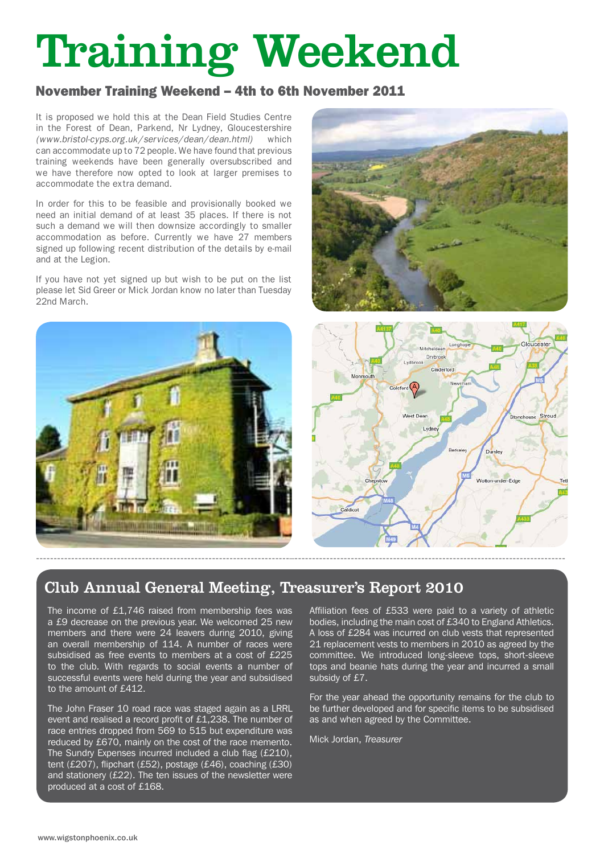# Training Weekend

# November Training Weekend – 4th to 6th November 2011

It is proposed we hold this at the Dean Field Studies Centre in the Forest of Dean, Parkend, Nr Lydney, Gloucestershire *(www.bristol-cyps.org.uk/services/dean/dean.html)* which can accommodate up to 72 people. We have found that previous training weekends have been generally oversubscribed and we have therefore now opted to look at larger premises to accommodate the extra demand.

In order for this to be feasible and provisionally booked we need an initial demand of at least 35 places. If there is not such a demand we will then downsize accordingly to smaller accommodation as before. Currently we have 27 members signed up following recent distribution of the details by e-mail and at the Legion.

If you have not yet signed up but wish to be put on the list please let Sid Greer or Mick Jordan know no later than Tuesday 22nd March.







# Club Annual General Meeting, Treasurer's Report 2010

The income of £1,746 raised from membership fees was a £9 decrease on the previous year. We welcomed 25 new members and there were 24 leavers during 2010, giving an overall membership of 114. A number of races were subsidised as free events to members at a cost of £225 to the club. With regards to social events a number of successful events were held during the year and subsidised to the amount of £412.

The John Fraser 10 road race was staged again as a LRRL event and realised a record profit of £1,238. The number of race entries dropped from 569 to 515 but expenditure was reduced by £670, mainly on the cost of the race memento. The Sundry Expenses incurred included a club flag (£210), tent (£207), flipchart (£52), postage (£46), coaching (£30) and stationery (£22). The ten issues of the newsletter were produced at a cost of £168.

Affiliation fees of £533 were paid to a variety of athletic bodies, including the main cost of £340 to England Athletics. A loss of £284 was incurred on club vests that represented 21 replacement vests to members in 2010 as agreed by the committee. We introduced long-sleeve tops, short-sleeve tops and beanie hats during the year and incurred a small subsidy of £7.

For the year ahead the opportunity remains for the club to be further developed and for specific items to be subsidised as and when agreed by the Committee.

Mick Jordan, *Treasurer*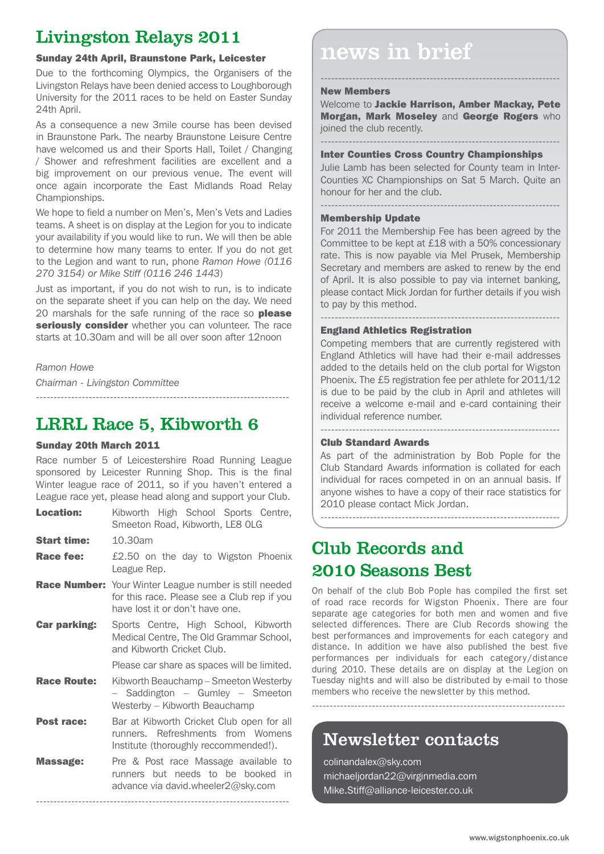# Livingston Relays 2011

Due to the forthcoming Olympics, the Organisers of the Livingston Relays have been denied access to Loughborough University for the 2011 races to be held on Easter Sunday 24th April.

As a consequence a new 3mile course has been devised in Braunstone Park. The nearby Braunstone Leisure Centre have welcomed us and their Sports Hall, Toilet / Changing / Shower and refreshment facilities are excellent and a big improvement on our previous venue. The event will once again incorporate the East Midlands Road Relay Championships.

We hope to field a number on Men's, Men's Vets and Ladies teams. A sheet is on display at the Legion for you to indicate your availability if you would like to run. We will then be able to determine how many teams to enter. If you do not get to the Legion and want to run, phone *Ramon Howe (0116 270 3154) or Mike Stiff (0116 246 1443*)

Just as important, if you do not wish to run, is to indicate on the separate sheet if you can help on the day. We need 20 marshals for the safe running of the race so please seriously consider whether you can volunteer. The race starts at 10.30am and will be all over soon after 12noon

# *Ramon Howe*

*Chairman - Livingston Committee*

# LRRL Race 5, Kibworth 6

# Sunday 20th March 2011

Race number 5 of Leicestershire Road Running League sponsored by Leicester Running Shop. This is the final Winter league race of 2011, so if you haven't entered a League race yet, please head along and support your Club.

------------------------------------------------------------------------

| <b>Location:</b>    | Kibworth High School Sports Centre,<br>Smeeton Road, Kibworth, LE8 OLG                                                                          |
|---------------------|-------------------------------------------------------------------------------------------------------------------------------------------------|
| <b>Start time:</b>  | 10.30am                                                                                                                                         |
| Race fee:           | £2.50 on the day to Wigston Phoenix<br>League Rep.                                                                                              |
|                     | <b>Race Number:</b> Your Winter League number is still needed<br>for this race. Please see a Club rep if you<br>have lost it or don't have one. |
| <b>Car parking:</b> | Sports Centre, High School, Kibworth<br>Medical Centre, The Old Grammar School,<br>and Kibworth Cricket Club.                                   |
|                     | Please car share as spaces will be limited.                                                                                                     |
| <b>Race Route:</b>  | Kibworth Beauchamp - Smeeton Westerby<br>- Saddington - Gumley - Smeeton<br>Westerby – Kibworth Beauchamp                                       |
| <b>Post race:</b>   | Bar at Kibworth Cricket Club open for all<br>runners. Refreshments from Womens<br>Institute (thoroughly reccommended!).                         |
| Massage:            | Pre & Post race Massage available to<br>runners but needs to be booked<br>in.<br>advance via david.wheeler2@sky.com                             |

------------------------------------------------------------------------

# Sunday 24th April, Braunstone Park, Leicester and MCWS in brief

# New Members

Welcome to Jackie Harrison, Amber Mackay, Pete Morgan, Mark Moseley and George Rogers who joined the club recently.

--------------------------------------------------------------------

## -------------------------------------------------------------------- Inter Counties Cross Country Championships

Julie Lamb has been selected for County team in Inter-Counties XC Championships on Sat 5 March. Quite an honour for her and the club.

--------------------------------------------------------------------

# Membership Update

For 2011 the Membership Fee has been agreed by the Committee to be kept at £18 with a 50% concessionary rate. This is now payable via Mel Prusek, Membership Secretary and members are asked to renew by the end of April. It is also possible to pay via internet banking, please contact Mick Jordan for further details if you wish to pay by this method.

--------------------------------------------------------------------

# England Athletics Registration

Competing members that are currently registered with England Athletics will have had their e-mail addresses added to the details held on the club portal for Wigston Phoenix. The £5 registration fee per athlete for 2011/12 is due to be paid by the club in April and athletes will receive a welcome e-mail and e-card containing their individual reference number.

--------------------------------------------------------------------

# Club Standard Awards

As part of the administration by Bob Pople for the Club Standard Awards information is collated for each individual for races competed in on an annual basis. If anyone wishes to have a copy of their race statistics for 2010 please contact Mick Jordan.

--------------------------------------------------------------------

# Club Records and 2010 Seasons Best

On behalf of the club Bob Pople has compiled the first set of road race records for Wigston Phoenix. There are four separate age categories for both men and women and five selected differences. There are Club Records showing the best performances and improvements for each category and distance. In addition we have also published the best five performances per individuals for each category/distance during 2010. These details are on display at the Legion on Tuesday nights and will also be distributed by e-mail to those members who receive the newsletter by this method.

------------------------------------------------------------------------

Newsletter contacts

colinandalex@sky.com michaeljordan22@virginmedia.com Mike.Stiff@alliance-leicester.co.uk